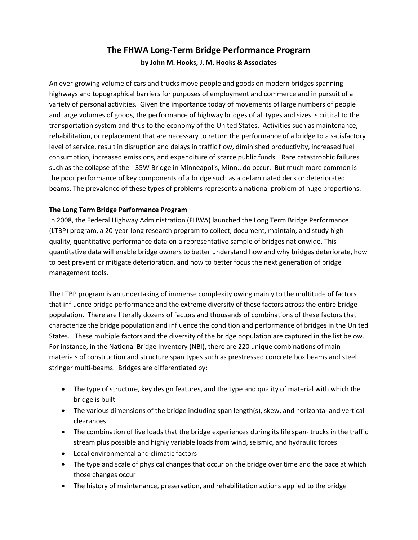# **The FHWA Long-Term Bridge Performance Program by John M. Hooks, J. M. Hooks & Associates**

An ever-growing volume of cars and trucks move people and goods on modern bridges spanning highways and topographical barriers for purposes of employment and commerce and in pursuit of a variety of personal activities. Given the importance today of movements of large numbers of people and large volumes of goods, the performance of highway bridges of all types and sizes is critical to the transportation system and thus to the economy of the United States. Activities such as maintenance, rehabilitation, or replacement that are necessary to return the performance of a bridge to a satisfactory level of service, result in disruption and delays in traffic flow, diminished productivity, increased fuel consumption, increased emissions, and expenditure of scarce public funds. Rare catastrophic failures such as the collapse of the I-35W Bridge in Minneapolis, Minn., do occur. But much more common is the poor performance of key components of a bridge such as a delaminated deck or deteriorated beams. The prevalence of these types of problems represents a national problem of huge proportions.

## **The Long Term Bridge Performance Program**

In 2008, the Federal Highway Administration (FHWA) launched the Long Term Bridge Performance (LTBP) program, a 20-year-long research program to collect, document, maintain, and study highquality, quantitative performance data on a representative sample of bridges nationwide. This quantitative data will enable bridge owners to better understand how and why bridges deteriorate, how to best prevent or mitigate deterioration, and how to better focus the next generation of bridge management tools.

The LTBP program is an undertaking of immense complexity owing mainly to the multitude of factors that influence bridge performance and the extreme diversity of these factors across the entire bridge population. There are literally dozens of factors and thousands of combinations of these factors that characterize the bridge population and influence the condition and performance of bridges in the United States. These multiple factors and the diversity of the bridge population are captured in the list below. For instance, in the National Bridge Inventory (NBI), there are 220 unique combinations of main materials of construction and structure span types such as prestressed concrete box beams and steel stringer multi-beams. Bridges are differentiated by:

- The type of structure, key design features, and the type and quality of material with which the bridge is built
- The various dimensions of the bridge including span length(s), skew, and horizontal and vertical clearances
- The combination of live loads that the bridge experiences during its life span- trucks in the traffic stream plus possible and highly variable loads from wind, seismic, and hydraulic forces
- Local environmental and climatic factors
- The type and scale of physical changes that occur on the bridge over time and the pace at which those changes occur
- The history of maintenance, preservation, and rehabilitation actions applied to the bridge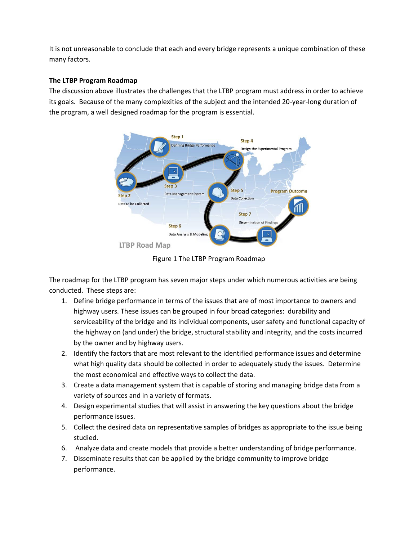It is not unreasonable to conclude that each and every bridge represents a unique combination of these many factors.

## **The LTBP Program Roadmap**

The discussion above illustrates the challenges that the LTBP program must address in order to achieve its goals. Because of the many complexities of the subject and the intended 20-year-long duration of the program, a well designed roadmap for the program is essential.



Figure 1 The LTBP Program Roadmap

The roadmap for the LTBP program has seven major steps under which numerous activities are being conducted. These steps are:

- 1. Define bridge performance in terms of the issues that are of most importance to owners and highway users. These issues can be grouped in four broad categories: durability and serviceability of the bridge and its individual components, user safety and functional capacity of the highway on (and under) the bridge, structural stability and integrity, and the costs incurred by the owner and by highway users.
- 2. Identify the factors that are most relevant to the identified performance issues and determine what high quality data should be collected in order to adequately study the issues. Determine the most economical and effective ways to collect the data.
- 3. Create a data management system that is capable of storing and managing bridge data from a variety of sources and in a variety of formats.
- 4. Design experimental studies that will assist in answering the key questions about the bridge performance issues.
- 5. Collect the desired data on representative samples of bridges as appropriate to the issue being studied.
- 6. Analyze data and create models that provide a better understanding of bridge performance.
- 7. Disseminate results that can be applied by the bridge community to improve bridge performance.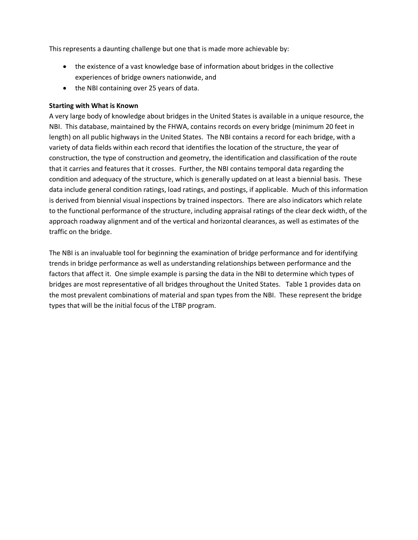This represents a daunting challenge but one that is made more achievable by:

- the existence of a vast knowledge base of information about bridges in the collective experiences of bridge owners nationwide, and
- the NBI containing over 25 years of data.

#### **Starting with What is Known**

A very large body of knowledge about bridges in the United States is available in a unique resource, the NBI. This database, maintained by the FHWA, contains records on every bridge (minimum 20 feet in length) on all public highways in the United States. The NBI contains a record for each bridge, with a variety of data fields within each record that identifies the location of the structure, the year of construction, the type of construction and geometry, the identification and classification of the route that it carries and features that it crosses. Further, the NBI contains temporal data regarding the condition and adequacy of the structure, which is generally updated on at least a biennial basis. These data include general condition ratings, load ratings, and postings, if applicable. Much of this information is derived from biennial visual inspections by trained inspectors. There are also indicators which relate to the functional performance of the structure, including appraisal ratings of the clear deck width, of the approach roadway alignment and of the vertical and horizontal clearances, as well as estimates of the traffic on the bridge.

The NBI is an invaluable tool for beginning the examination of bridge performance and for identifying trends in bridge performance as well as understanding relationships between performance and the factors that affect it. One simple example is parsing the data in the NBI to determine which types of bridges are most representative of all bridges throughout the United States. Table 1 provides data on the most prevalent combinations of material and span types from the NBI. These represent the bridge types that will be the initial focus of the LTBP program.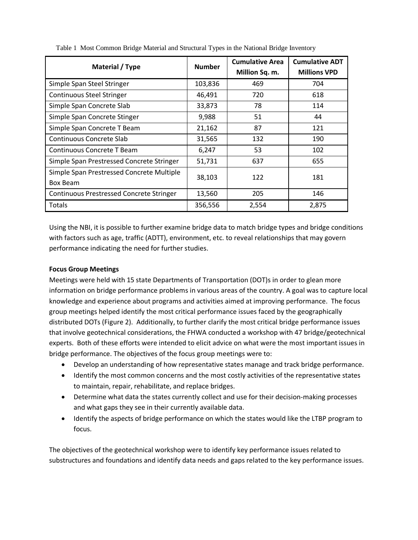| Material / Type                                       | <b>Number</b> | <b>Cumulative Area</b><br>Million Sq. m. | <b>Cumulative ADT</b><br><b>Millions VPD</b> |
|-------------------------------------------------------|---------------|------------------------------------------|----------------------------------------------|
| Simple Span Steel Stringer                            | 103,836       | 469                                      | 704                                          |
| <b>Continuous Steel Stringer</b>                      | 46,491        | 720                                      | 618                                          |
| Simple Span Concrete Slab                             | 33,873        | 78                                       | 114                                          |
| Simple Span Concrete Stinger                          | 9,988         | 51                                       | 44                                           |
| Simple Span Concrete T Beam                           | 21,162        | 87                                       | 121                                          |
| Continuous Concrete Slab                              | 31,565        | 132                                      | 190                                          |
| Continuous Concrete T Beam                            | 6,247         | 53                                       | 102                                          |
| Simple Span Prestressed Concrete Stringer             | 51,731        | 637                                      | 655                                          |
| Simple Span Prestressed Concrete Multiple<br>Box Beam | 38,103        | 122                                      | 181                                          |
| <b>Continuous Prestressed Concrete Stringer</b>       | 13,560        | 205                                      | 146                                          |
| Totals                                                | 356,556       | 2,554                                    | 2,875                                        |

Table 1 Most Common Bridge Material and Structural Types in the National Bridge Inventory

Using the NBI, it is possible to further examine bridge data to match bridge types and bridge conditions with factors such as age, traffic (ADTT), environment, etc. to reveal relationships that may govern performance indicating the need for further studies.

#### **Focus Group Meetings**

Meetings were held with 15 state Departments of Transportation (DOT)s in order to glean more information on bridge performance problems in various areas of the country. A goal was to capture local knowledge and experience about programs and activities aimed at improving performance. The focus group meetings helped identify the most critical performance issues faced by the geographically distributed DOTs (Figure 2). Additionally, to further clarify the most critical bridge performance issues that involve geotechnical considerations, the FHWA conducted a workshop with 47 bridge/geotechnical experts. Both of these efforts were intended to elicit advice on what were the most important issues in bridge performance. The objectives of the focus group meetings were to:

- Develop an understanding of how representative states manage and track bridge performance.
- Identify the most common concerns and the most costly activities of the representative states to maintain, repair, rehabilitate, and replace bridges.
- Determine what data the states currently collect and use for their decision-making processes and what gaps they see in their currently available data.
- Identify the aspects of bridge performance on which the states would like the LTBP program to focus.

The objectives of the geotechnical workshop were to identify key performance issues related to substructures and foundations and identify data needs and gaps related to the key performance issues.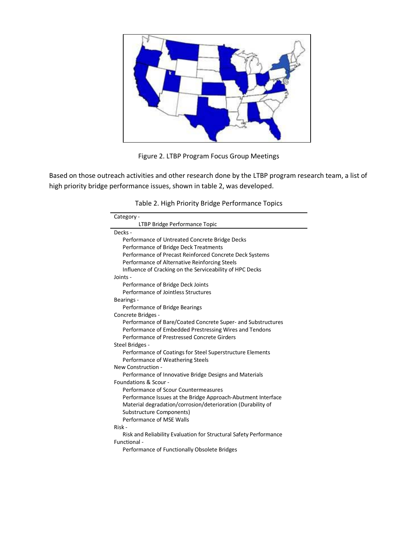

Figure 2. LTBP Program Focus Group Meetings

Based on those outreach activities and other research done by the LTBP program research team, a list of high priority bridge performance issues, shown in table 2, was developed.

| Table 2. High Priority Bridge Performance Topics                  |
|-------------------------------------------------------------------|
| Category -                                                        |
| LTBP Bridge Performance Topic                                     |
| Decks -                                                           |
| Performance of Untreated Concrete Bridge Decks                    |
| Performance of Bridge Deck Treatments                             |
| Performance of Precast Reinforced Concrete Deck Systems           |
| Performance of Alternative Reinforcing Steels                     |
| Influence of Cracking on the Serviceability of HPC Decks          |
| Joints -                                                          |
| Performance of Bridge Deck Joints                                 |
| Performance of Jointless Structures                               |
| Bearings -                                                        |
| Performance of Bridge Bearings                                    |
| Concrete Bridges -                                                |
| Performance of Bare/Coated Concrete Super- and Substructures      |
| Performance of Embedded Prestressing Wires and Tendons            |
| Performance of Prestressed Concrete Girders                       |
| Steel Bridges -                                                   |
| Performance of Coatings for Steel Superstructure Elements         |
| Performance of Weathering Steels                                  |
| New Construction -                                                |
| Performance of Innovative Bridge Designs and Materials            |
| Foundations & Scour -                                             |
| Performance of Scour Countermeasures                              |
| Performance Issues at the Bridge Approach-Abutment Interface      |
| Material degradation/corrosion/deterioration (Durability of       |
| Substructure Components)                                          |
| Performance of MSE Walls                                          |
| Risk -                                                            |
| Risk and Reliability Evaluation for Structural Safety Performance |
| Functional -                                                      |
| Performance of Functionally Obsolete Bridges                      |

|  |  | Table 2. High Priority Bridge Performance Topics |  |
|--|--|--------------------------------------------------|--|
|  |  |                                                  |  |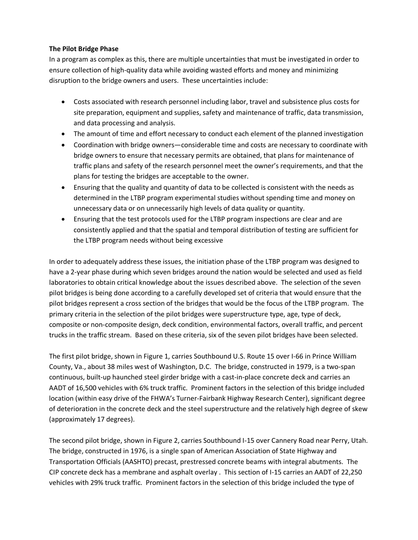### **The Pilot Bridge Phase**

In a program as complex as this, there are multiple uncertainties that must be investigated in order to ensure collection of high-quality data while avoiding wasted efforts and money and minimizing disruption to the bridge owners and users. These uncertainties include:

- Costs associated with research personnel including labor, travel and subsistence plus costs for site preparation, equipment and supplies, safety and maintenance of traffic, data transmission, and data processing and analysis.
- The amount of time and effort necessary to conduct each element of the planned investigation
- Coordination with bridge owners—considerable time and costs are necessary to coordinate with bridge owners to ensure that necessary permits are obtained, that plans for maintenance of traffic plans and safety of the research personnel meet the owner's requirements, and that the plans for testing the bridges are acceptable to the owner.
- Ensuring that the quality and quantity of data to be collected is consistent with the needs as determined in the LTBP program experimental studies without spending time and money on unnecessary data or on unnecessarily high levels of data quality or quantity.
- Ensuring that the test protocols used for the LTBP program inspections are clear and are consistently applied and that the spatial and temporal distribution of testing are sufficient for the LTBP program needs without being excessive

In order to adequately address these issues, the initiation phase of the LTBP program was designed to have a 2-year phase during which seven bridges around the nation would be selected and used as field laboratories to obtain critical knowledge about the issues described above. The selection of the seven pilot bridges is being done according to a carefully developed set of criteria that would ensure that the pilot bridges represent a cross section of the bridges that would be the focus of the LTBP program. The primary criteria in the selection of the pilot bridges were superstructure type, age, type of deck, composite or non-composite design, deck condition, environmental factors, overall traffic, and percent trucks in the traffic stream. Based on these criteria, six of the seven pilot bridges have been selected.

The first pilot bridge, shown in Figure 1, carries Southbound U.S. Route 15 over I-66 in Prince William County, Va., about 38 miles west of Washington, D.C. The bridge, constructed in 1979, is a two-span continuous, built-up haunched steel girder bridge with a cast-in-place concrete deck and carries an AADT of 16,500 vehicles with 6% truck traffic. Prominent factors in the selection of this bridge included location (within easy drive of the FHWA's Turner-Fairbank Highway Research Center), significant degree of deterioration in the concrete deck and the steel superstructure and the relatively high degree of skew (approximately 17 degrees).

The second pilot bridge, shown in Figure 2, carries Southbound I-15 over Cannery Road near Perry, Utah. The bridge, constructed in 1976, is a single span of American Association of State Highway and Transportation Officials (AASHTO) precast, prestressed concrete beams with integral abutments. The CIP concrete deck has a membrane and asphalt overlay . This section of I-15 carries an AADT of 22,250 vehicles with 29% truck traffic. Prominent factors in the selection of this bridge included the type of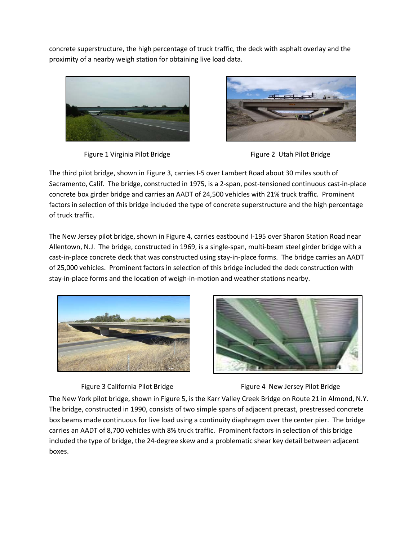concrete superstructure, the high percentage of truck traffic, the deck with asphalt overlay and the proximity of a nearby weigh station for obtaining live load data.



Figure 1 Virginia Pilot Bridge Figure 2 Utah Pilot Bridge





The third pilot bridge, shown in Figure 3, carries I-5 over Lambert Road about 30 miles south of Sacramento, Calif. The bridge, constructed in 1975, is a 2-span, post-tensioned continuous cast-in-place concrete box girder bridge and carries an AADT of 24,500 vehicles with 21% truck traffic. Prominent factors in selection of this bridge included the type of concrete superstructure and the high percentage of truck traffic.

The New Jersey pilot bridge, shown in Figure 4, carries eastbound I-195 over Sharon Station Road near Allentown, N.J. The bridge, constructed in 1969, is a single-span, multi-beam steel girder bridge with a cast-in-place concrete deck that was constructed using stay-in-place forms. The bridge carries an AADT of 25,000 vehicles. Prominent factors in selection of this bridge included the deck construction with stay-in-place forms and the location of weigh-in-motion and weather stations nearby.







The New York pilot bridge, shown in Figure 5, is the Karr Valley Creek Bridge on Route 21 in Almond, N.Y. The bridge, constructed in 1990, consists of two simple spans of adjacent precast, prestressed concrete box beams made continuous for live load using a continuity diaphragm over the center pier. The bridge carries an AADT of 8,700 vehicles with 8% truck traffic. Prominent factors in selection of this bridge included the type of bridge, the 24-degree skew and a problematic shear key detail between adjacent boxes.